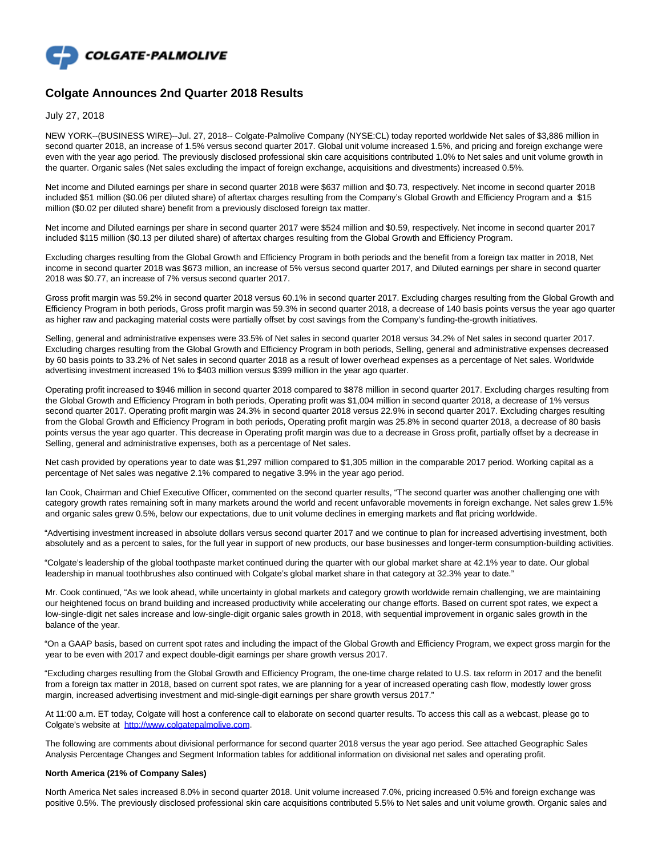

# **Colgate Announces 2nd Quarter 2018 Results**

July 27, 2018

NEW YORK--(BUSINESS WIRE)--Jul. 27, 2018-- Colgate-Palmolive Company (NYSE:CL) today reported worldwide Net sales of \$3,886 million in second quarter 2018, an increase of 1.5% versus second quarter 2017. Global unit volume increased 1.5%, and pricing and foreign exchange were even with the year ago period. The previously disclosed professional skin care acquisitions contributed 1.0% to Net sales and unit volume growth in the quarter. Organic sales (Net sales excluding the impact of foreign exchange, acquisitions and divestments) increased 0.5%.

Net income and Diluted earnings per share in second quarter 2018 were \$637 million and \$0.73, respectively. Net income in second quarter 2018 included \$51 million (\$0.06 per diluted share) of aftertax charges resulting from the Company's Global Growth and Efficiency Program and a \$15 million (\$0.02 per diluted share) benefit from a previously disclosed foreign tax matter.

Net income and Diluted earnings per share in second quarter 2017 were \$524 million and \$0.59, respectively. Net income in second quarter 2017 included \$115 million (\$0.13 per diluted share) of aftertax charges resulting from the Global Growth and Efficiency Program.

Excluding charges resulting from the Global Growth and Efficiency Program in both periods and the benefit from a foreign tax matter in 2018, Net income in second quarter 2018 was \$673 million, an increase of 5% versus second quarter 2017, and Diluted earnings per share in second quarter 2018 was \$0.77, an increase of 7% versus second quarter 2017.

Gross profit margin was 59.2% in second quarter 2018 versus 60.1% in second quarter 2017. Excluding charges resulting from the Global Growth and Efficiency Program in both periods, Gross profit margin was 59.3% in second quarter 2018, a decrease of 140 basis points versus the year ago quarter as higher raw and packaging material costs were partially offset by cost savings from the Company's funding-the-growth initiatives.

Selling, general and administrative expenses were 33.5% of Net sales in second quarter 2018 versus 34.2% of Net sales in second quarter 2017. Excluding charges resulting from the Global Growth and Efficiency Program in both periods, Selling, general and administrative expenses decreased by 60 basis points to 33.2% of Net sales in second quarter 2018 as a result of lower overhead expenses as a percentage of Net sales. Worldwide advertising investment increased 1% to \$403 million versus \$399 million in the year ago quarter.

Operating profit increased to \$946 million in second quarter 2018 compared to \$878 million in second quarter 2017. Excluding charges resulting from the Global Growth and Efficiency Program in both periods, Operating profit was \$1,004 million in second quarter 2018, a decrease of 1% versus second quarter 2017. Operating profit margin was 24.3% in second quarter 2018 versus 22.9% in second quarter 2017. Excluding charges resulting from the Global Growth and Efficiency Program in both periods, Operating profit margin was 25.8% in second quarter 2018, a decrease of 80 basis points versus the year ago quarter. This decrease in Operating profit margin was due to a decrease in Gross profit, partially offset by a decrease in Selling, general and administrative expenses, both as a percentage of Net sales.

Net cash provided by operations year to date was \$1,297 million compared to \$1,305 million in the comparable 2017 period. Working capital as a percentage of Net sales was negative 2.1% compared to negative 3.9% in the year ago period.

Ian Cook, Chairman and Chief Executive Officer, commented on the second quarter results, "The second quarter was another challenging one with category growth rates remaining soft in many markets around the world and recent unfavorable movements in foreign exchange. Net sales grew 1.5% and organic sales grew 0.5%, below our expectations, due to unit volume declines in emerging markets and flat pricing worldwide.

"Advertising investment increased in absolute dollars versus second quarter 2017 and we continue to plan for increased advertising investment, both absolutely and as a percent to sales, for the full year in support of new products, our base businesses and longer-term consumption-building activities.

"Colgate's leadership of the global toothpaste market continued during the quarter with our global market share at 42.1% year to date. Our global leadership in manual toothbrushes also continued with Colgate's global market share in that category at 32.3% year to date."

Mr. Cook continued, "As we look ahead, while uncertainty in global markets and category growth worldwide remain challenging, we are maintaining our heightened focus on brand building and increased productivity while accelerating our change efforts. Based on current spot rates, we expect a low-single-digit net sales increase and low-single-digit organic sales growth in 2018, with sequential improvement in organic sales growth in the balance of the year.

"On a GAAP basis, based on current spot rates and including the impact of the Global Growth and Efficiency Program, we expect gross margin for the year to be even with 2017 and expect double-digit earnings per share growth versus 2017.

"Excluding charges resulting from the Global Growth and Efficiency Program, the one-time charge related to U.S. tax reform in 2017 and the benefit from a foreign tax matter in 2018, based on current spot rates, we are planning for a year of increased operating cash flow, modestly lower gross margin, increased advertising investment and mid-single-digit earnings per share growth versus 2017."

At 11:00 a.m. ET today, Colgate will host a conference call to elaborate on second quarter results. To access this call as a webcast, please go to Colgate's website at [http://www.colgatepalmolive.com.](http://www.colgatepalmolive.com/)

The following are comments about divisional performance for second quarter 2018 versus the year ago period. See attached Geographic Sales Analysis Percentage Changes and Segment Information tables for additional information on divisional net sales and operating profit.

### **North America (21% of Company Sales)**

North America Net sales increased 8.0% in second quarter 2018. Unit volume increased 7.0%, pricing increased 0.5% and foreign exchange was positive 0.5%. The previously disclosed professional skin care acquisitions contributed 5.5% to Net sales and unit volume growth. Organic sales and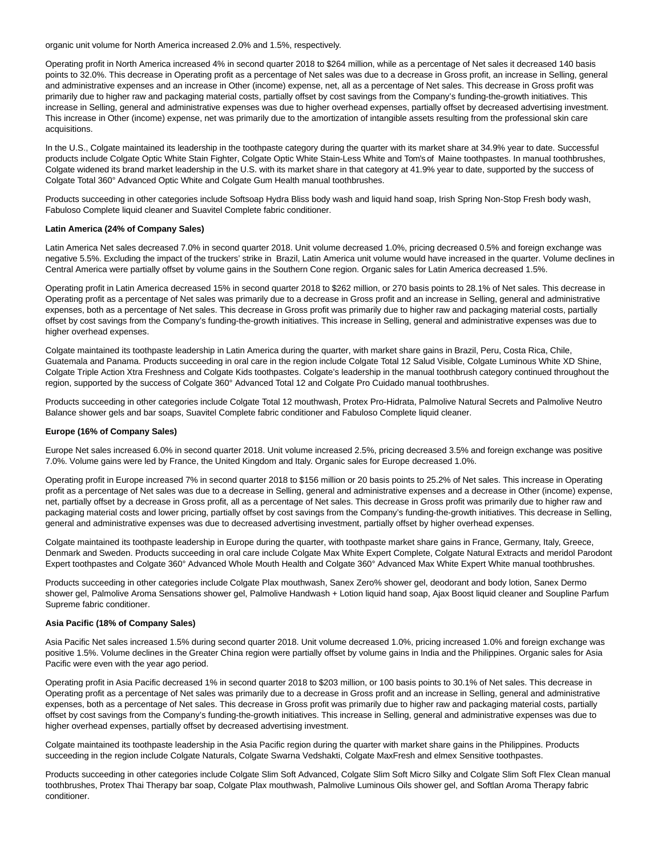organic unit volume for North America increased 2.0% and 1.5%, respectively.

Operating profit in North America increased 4% in second quarter 2018 to \$264 million, while as a percentage of Net sales it decreased 140 basis points to 32.0%. This decrease in Operating profit as a percentage of Net sales was due to a decrease in Gross profit, an increase in Selling, general and administrative expenses and an increase in Other (income) expense, net, all as a percentage of Net sales. This decrease in Gross profit was primarily due to higher raw and packaging material costs, partially offset by cost savings from the Company's funding-the-growth initiatives. This increase in Selling, general and administrative expenses was due to higher overhead expenses, partially offset by decreased advertising investment. This increase in Other (income) expense, net was primarily due to the amortization of intangible assets resulting from the professional skin care acquisitions.

In the U.S., Colgate maintained its leadership in the toothpaste category during the quarter with its market share at 34.9% year to date. Successful products include Colgate Optic White Stain Fighter, Colgate Optic White Stain-Less White and Tom's of Maine toothpastes. In manual toothbrushes, Colgate widened its brand market leadership in the U.S. with its market share in that category at 41.9% year to date, supported by the success of Colgate Total 360° Advanced Optic White and Colgate Gum Health manual toothbrushes.

Products succeeding in other categories include Softsoap Hydra Bliss body wash and liquid hand soap, Irish Spring Non-Stop Fresh body wash, Fabuloso Complete liquid cleaner and Suavitel Complete fabric conditioner.

### **Latin America (24% of Company Sales)**

Latin America Net sales decreased 7.0% in second quarter 2018. Unit volume decreased 1.0%, pricing decreased 0.5% and foreign exchange was negative 5.5%. Excluding the impact of the truckers' strike in Brazil, Latin America unit volume would have increased in the quarter. Volume declines in Central America were partially offset by volume gains in the Southern Cone region. Organic sales for Latin America decreased 1.5%.

Operating profit in Latin America decreased 15% in second quarter 2018 to \$262 million, or 270 basis points to 28.1% of Net sales. This decrease in Operating profit as a percentage of Net sales was primarily due to a decrease in Gross profit and an increase in Selling, general and administrative expenses, both as a percentage of Net sales. This decrease in Gross profit was primarily due to higher raw and packaging material costs, partially offset by cost savings from the Company's funding-the-growth initiatives. This increase in Selling, general and administrative expenses was due to higher overhead expenses.

Colgate maintained its toothpaste leadership in Latin America during the quarter, with market share gains in Brazil, Peru, Costa Rica, Chile, Guatemala and Panama. Products succeeding in oral care in the region include Colgate Total 12 Salud Visible, Colgate Luminous White XD Shine, Colgate Triple Action Xtra Freshness and Colgate Kids toothpastes. Colgate's leadership in the manual toothbrush category continued throughout the region, supported by the success of Colgate 360° Advanced Total 12 and Colgate Pro Cuidado manual toothbrushes.

Products succeeding in other categories include Colgate Total 12 mouthwash, Protex Pro-Hidrata, Palmolive Natural Secrets and Palmolive Neutro Balance shower gels and bar soaps, Suavitel Complete fabric conditioner and Fabuloso Complete liquid cleaner.

### **Europe (16% of Company Sales)**

Europe Net sales increased 6.0% in second quarter 2018. Unit volume increased 2.5%, pricing decreased 3.5% and foreign exchange was positive 7.0%. Volume gains were led by France, the United Kingdom and Italy. Organic sales for Europe decreased 1.0%.

Operating profit in Europe increased 7% in second quarter 2018 to \$156 million or 20 basis points to 25.2% of Net sales. This increase in Operating profit as a percentage of Net sales was due to a decrease in Selling, general and administrative expenses and a decrease in Other (income) expense, net, partially offset by a decrease in Gross profit, all as a percentage of Net sales. This decrease in Gross profit was primarily due to higher raw and packaging material costs and lower pricing, partially offset by cost savings from the Company's funding-the-growth initiatives. This decrease in Selling, general and administrative expenses was due to decreased advertising investment, partially offset by higher overhead expenses.

Colgate maintained its toothpaste leadership in Europe during the quarter, with toothpaste market share gains in France, Germany, Italy, Greece, Denmark and Sweden. Products succeeding in oral care include Colgate Max White Expert Complete, Colgate Natural Extracts and meridol Parodont Expert toothpastes and Colgate 360° Advanced Whole Mouth Health and Colgate 360° Advanced Max White Expert White manual toothbrushes.

Products succeeding in other categories include Colgate Plax mouthwash, Sanex Zero% shower gel, deodorant and body lotion, Sanex Dermo shower gel, Palmolive Aroma Sensations shower gel, Palmolive Handwash + Lotion liquid hand soap, Ajax Boost liquid cleaner and Soupline Parfum Supreme fabric conditioner.

#### **Asia Pacific (18% of Company Sales)**

Asia Pacific Net sales increased 1.5% during second quarter 2018. Unit volume decreased 1.0%, pricing increased 1.0% and foreign exchange was positive 1.5%. Volume declines in the Greater China region were partially offset by volume gains in India and the Philippines. Organic sales for Asia Pacific were even with the year ago period.

Operating profit in Asia Pacific decreased 1% in second quarter 2018 to \$203 million, or 100 basis points to 30.1% of Net sales. This decrease in Operating profit as a percentage of Net sales was primarily due to a decrease in Gross profit and an increase in Selling, general and administrative expenses, both as a percentage of Net sales. This decrease in Gross profit was primarily due to higher raw and packaging material costs, partially offset by cost savings from the Company's funding-the-growth initiatives. This increase in Selling, general and administrative expenses was due to higher overhead expenses, partially offset by decreased advertising investment.

Colgate maintained its toothpaste leadership in the Asia Pacific region during the quarter with market share gains in the Philippines. Products succeeding in the region include Colgate Naturals, Colgate Swarna Vedshakti, Colgate MaxFresh and elmex Sensitive toothpastes.

Products succeeding in other categories include Colgate Slim Soft Advanced, Colgate Slim Soft Micro Silky and Colgate Slim Soft Flex Clean manual toothbrushes, Protex Thai Therapy bar soap, Colgate Plax mouthwash, Palmolive Luminous Oils shower gel, and Softlan Aroma Therapy fabric conditioner.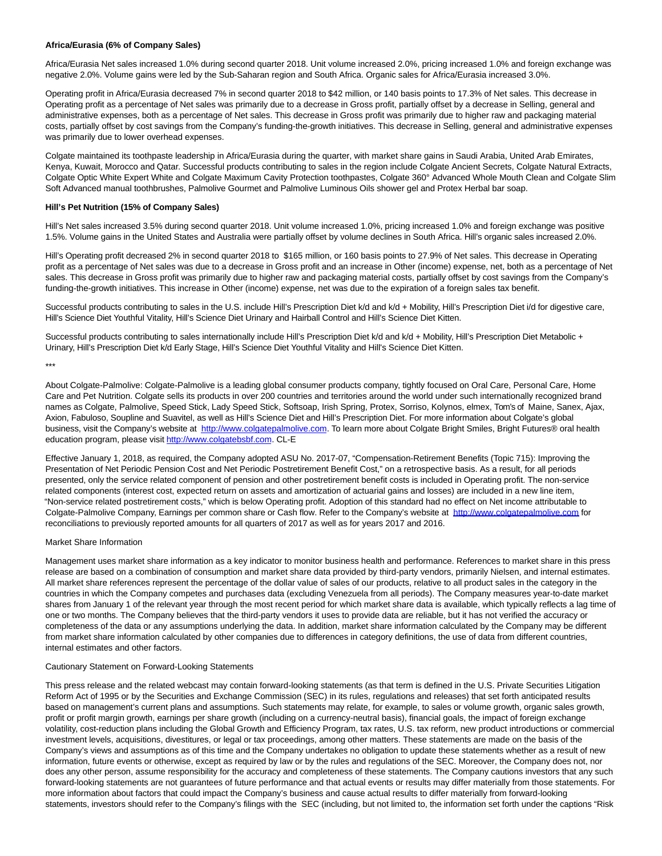### **Africa/Eurasia (6% of Company Sales)**

Africa/Eurasia Net sales increased 1.0% during second quarter 2018. Unit volume increased 2.0%, pricing increased 1.0% and foreign exchange was negative 2.0%. Volume gains were led by the Sub-Saharan region and South Africa. Organic sales for Africa/Eurasia increased 3.0%.

Operating profit in Africa/Eurasia decreased 7% in second quarter 2018 to \$42 million, or 140 basis points to 17.3% of Net sales. This decrease in Operating profit as a percentage of Net sales was primarily due to a decrease in Gross profit, partially offset by a decrease in Selling, general and administrative expenses, both as a percentage of Net sales. This decrease in Gross profit was primarily due to higher raw and packaging material costs, partially offset by cost savings from the Company's funding-the-growth initiatives. This decrease in Selling, general and administrative expenses was primarily due to lower overhead expenses.

Colgate maintained its toothpaste leadership in Africa/Eurasia during the quarter, with market share gains in Saudi Arabia, United Arab Emirates, Kenya, Kuwait, Morocco and Qatar. Successful products contributing to sales in the region include Colgate Ancient Secrets, Colgate Natural Extracts, Colgate Optic White Expert White and Colgate Maximum Cavity Protection toothpastes, Colgate 360° Advanced Whole Mouth Clean and Colgate Slim Soft Advanced manual toothbrushes, Palmolive Gourmet and Palmolive Luminous Oils shower gel and Protex Herbal bar soap.

### **Hill's Pet Nutrition (15% of Company Sales)**

Hill's Net sales increased 3.5% during second quarter 2018. Unit volume increased 1.0%, pricing increased 1.0% and foreign exchange was positive 1.5%. Volume gains in the United States and Australia were partially offset by volume declines in South Africa. Hill's organic sales increased 2.0%.

Hill's Operating profit decreased 2% in second quarter 2018 to \$165 million, or 160 basis points to 27.9% of Net sales. This decrease in Operating profit as a percentage of Net sales was due to a decrease in Gross profit and an increase in Other (income) expense, net, both as a percentage of Net sales. This decrease in Gross profit was primarily due to higher raw and packaging material costs, partially offset by cost savings from the Company's funding-the-growth initiatives. This increase in Other (income) expense, net was due to the expiration of a foreign sales tax benefit.

Successful products contributing to sales in the U.S. include Hill's Prescription Diet k/d and k/d + Mobility, Hill's Prescription Diet i/d for digestive care, Hill's Science Diet Youthful Vitality, Hill's Science Diet Urinary and Hairball Control and Hill's Science Diet Kitten.

Successful products contributing to sales internationally include Hill's Prescription Diet k/d and k/d + Mobility, Hill's Prescription Diet Metabolic + Urinary, Hill's Prescription Diet k/d Early Stage, Hill's Science Diet Youthful Vitality and Hill's Science Diet Kitten.

\*\*\*

About Colgate-Palmolive: Colgate-Palmolive is a leading global consumer products company, tightly focused on Oral Care, Personal Care, Home Care and Pet Nutrition. Colgate sells its products in over 200 countries and territories around the world under such internationally recognized brand names as Colgate, Palmolive, Speed Stick, Lady Speed Stick, Softsoap, Irish Spring, Protex, Sorriso, Kolynos, elmex, Tom's of Maine, Sanex, Ajax, Axion, Fabuloso, Soupline and Suavitel, as well as Hill's Science Diet and Hill's Prescription Diet. For more information about Colgate's global business, visit the Company's website at http://www.colgatepalmolive.com</u>. To learn more about Colgate Bright Smiles, Bright Futures® oral health education program, please visi[t http://www.colgatebsbf.com.](http://www.colgatebsbf.com/) CL-E

Effective January 1, 2018, as required, the Company adopted ASU No. 2017-07, "Compensation-Retirement Benefits (Topic 715): Improving the Presentation of Net Periodic Pension Cost and Net Periodic Postretirement Benefit Cost," on a retrospective basis. As a result, for all periods presented, only the service related component of pension and other postretirement benefit costs is included in Operating profit. The non-service related components (interest cost, expected return on assets and amortization of actuarial gains and losses) are included in a new line item, "Non-service related postretirement costs," which is below Operating profit. Adoption of this standard had no effect on Net income attributable to Colgate-Palmolive Company, Earnings per common share or Cash flow. Refer to the Company's website at [http://www.colgatepalmolive.com f](http://www.colgatepalmolive.com/)or reconciliations to previously reported amounts for all quarters of 2017 as well as for years 2017 and 2016.

#### Market Share Information

Management uses market share information as a key indicator to monitor business health and performance. References to market share in this press release are based on a combination of consumption and market share data provided by third-party vendors, primarily Nielsen, and internal estimates. All market share references represent the percentage of the dollar value of sales of our products, relative to all product sales in the category in the countries in which the Company competes and purchases data (excluding Venezuela from all periods). The Company measures year-to-date market shares from January 1 of the relevant year through the most recent period for which market share data is available, which typically reflects a lag time of one or two months. The Company believes that the third-party vendors it uses to provide data are reliable, but it has not verified the accuracy or completeness of the data or any assumptions underlying the data. In addition, market share information calculated by the Company may be different from market share information calculated by other companies due to differences in category definitions, the use of data from different countries, internal estimates and other factors.

#### Cautionary Statement on Forward-Looking Statements

This press release and the related webcast may contain forward-looking statements (as that term is defined in the U.S. Private Securities Litigation Reform Act of 1995 or by the Securities and Exchange Commission (SEC) in its rules, regulations and releases) that set forth anticipated results based on management's current plans and assumptions. Such statements may relate, for example, to sales or volume growth, organic sales growth, profit or profit margin growth, earnings per share growth (including on a currency-neutral basis), financial goals, the impact of foreign exchange volatility, cost-reduction plans including the Global Growth and Efficiency Program, tax rates, U.S. tax reform, new product introductions or commercial investment levels, acquisitions, divestitures, or legal or tax proceedings, among other matters. These statements are made on the basis of the Company's views and assumptions as of this time and the Company undertakes no obligation to update these statements whether as a result of new information, future events or otherwise, except as required by law or by the rules and regulations of the SEC. Moreover, the Company does not, nor does any other person, assume responsibility for the accuracy and completeness of these statements. The Company cautions investors that any such forward-looking statements are not guarantees of future performance and that actual events or results may differ materially from those statements. For more information about factors that could impact the Company's business and cause actual results to differ materially from forward-looking statements, investors should refer to the Company's filings with the SEC (including, but not limited to, the information set forth under the captions "Risk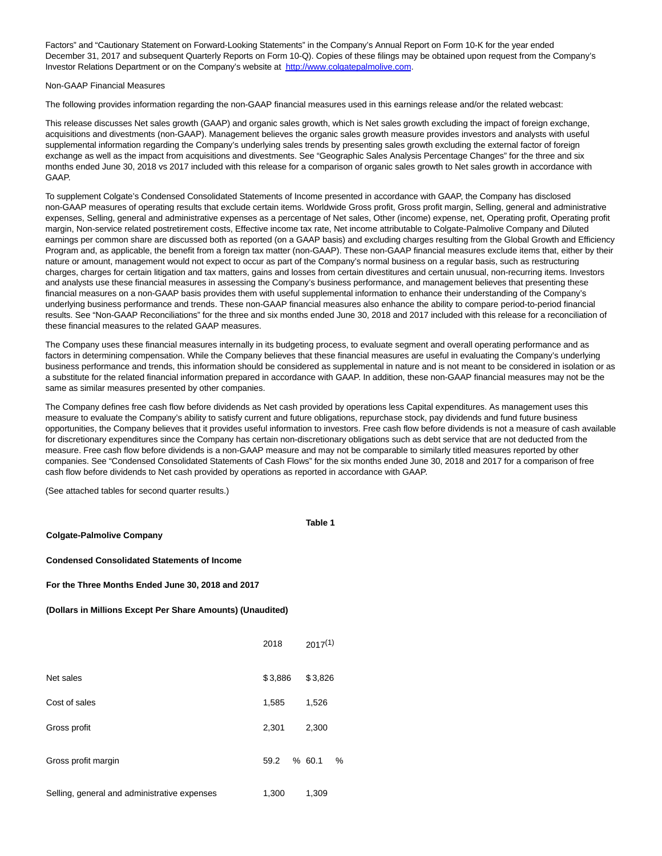Factors" and "Cautionary Statement on Forward-Looking Statements" in the Company's Annual Report on Form 10-K for the year ended December 31, 2017 and subsequent Quarterly Reports on Form 10-Q). Copies of these filings may be obtained upon request from the Company's Investor Relations Department or on the Company's website at [http://www.colgatepalmolive.com.](http://cts.businesswire.com/ct/CT?id=smartlink&url=http%3A%2F%2Fwww.colgatepalmolive.com&esheet=51843549&newsitemid=20180727005053&lan=en-US&anchor=http%3A%2F%2Fwww.colgatepalmolive.com&index=5&md5=ab3e115b0e7386172af8add5faf39645)

### Non-GAAP Financial Measures

The following provides information regarding the non-GAAP financial measures used in this earnings release and/or the related webcast:

This release discusses Net sales growth (GAAP) and organic sales growth, which is Net sales growth excluding the impact of foreign exchange. acquisitions and divestments (non-GAAP). Management believes the organic sales growth measure provides investors and analysts with useful supplemental information regarding the Company's underlying sales trends by presenting sales growth excluding the external factor of foreign exchange as well as the impact from acquisitions and divestments. See "Geographic Sales Analysis Percentage Changes" for the three and six months ended June 30, 2018 vs 2017 included with this release for a comparison of organic sales growth to Net sales growth in accordance with GAAP.

To supplement Colgate's Condensed Consolidated Statements of Income presented in accordance with GAAP, the Company has disclosed non-GAAP measures of operating results that exclude certain items. Worldwide Gross profit, Gross profit margin, Selling, general and administrative expenses, Selling, general and administrative expenses as a percentage of Net sales, Other (income) expense, net, Operating profit, Operating profit margin, Non-service related postretirement costs, Effective income tax rate, Net income attributable to Colgate-Palmolive Company and Diluted earnings per common share are discussed both as reported (on a GAAP basis) and excluding charges resulting from the Global Growth and Efficiency Program and, as applicable, the benefit from a foreign tax matter (non-GAAP). These non-GAAP financial measures exclude items that, either by their nature or amount, management would not expect to occur as part of the Company's normal business on a regular basis, such as restructuring charges, charges for certain litigation and tax matters, gains and losses from certain divestitures and certain unusual, non-recurring items. Investors and analysts use these financial measures in assessing the Company's business performance, and management believes that presenting these financial measures on a non-GAAP basis provides them with useful supplemental information to enhance their understanding of the Company's underlying business performance and trends. These non-GAAP financial measures also enhance the ability to compare period-to-period financial results. See "Non-GAAP Reconciliations" for the three and six months ended June 30, 2018 and 2017 included with this release for a reconciliation of these financial measures to the related GAAP measures.

The Company uses these financial measures internally in its budgeting process, to evaluate segment and overall operating performance and as factors in determining compensation. While the Company believes that these financial measures are useful in evaluating the Company's underlying business performance and trends, this information should be considered as supplemental in nature and is not meant to be considered in isolation or as a substitute for the related financial information prepared in accordance with GAAP. In addition, these non-GAAP financial measures may not be the same as similar measures presented by other companies.

The Company defines free cash flow before dividends as Net cash provided by operations less Capital expenditures. As management uses this measure to evaluate the Company's ability to satisfy current and future obligations, repurchase stock, pay dividends and fund future business opportunities, the Company believes that it provides useful information to investors. Free cash flow before dividends is not a measure of cash available for discretionary expenditures since the Company has certain non-discretionary obligations such as debt service that are not deducted from the measure. Free cash flow before dividends is a non-GAAP measure and may not be comparable to similarly titled measures reported by other companies. See "Condensed Consolidated Statements of Cash Flows" for the six months ended June 30, 2018 and 2017 for a comparison of free cash flow before dividends to Net cash provided by operations as reported in accordance with GAAP.

(See attached tables for second quarter results.)

| <b>Colgate-Palmolive Company</b>                           | Table 1     |               |  |  |  |  |  |  |  |  |  |  |
|------------------------------------------------------------|-------------|---------------|--|--|--|--|--|--|--|--|--|--|
| <b>Condensed Consolidated Statements of Income</b>         |             |               |  |  |  |  |  |  |  |  |  |  |
| For the Three Months Ended June 30, 2018 and 2017          |             |               |  |  |  |  |  |  |  |  |  |  |
| (Dollars in Millions Except Per Share Amounts) (Unaudited) |             |               |  |  |  |  |  |  |  |  |  |  |
|                                                            | 2018        | $2017^{(1)}$  |  |  |  |  |  |  |  |  |  |  |
| Net sales                                                  | \$3,886     | \$3,826       |  |  |  |  |  |  |  |  |  |  |
| Cost of sales                                              | 1,585       | 1,526         |  |  |  |  |  |  |  |  |  |  |
| Gross profit                                               | 2,301       | 2,300         |  |  |  |  |  |  |  |  |  |  |
| Gross profit margin                                        | 59.2 % 60.1 | $\frac{9}{6}$ |  |  |  |  |  |  |  |  |  |  |
| Selling, general and administrative expenses               | 1,300       | 1,309         |  |  |  |  |  |  |  |  |  |  |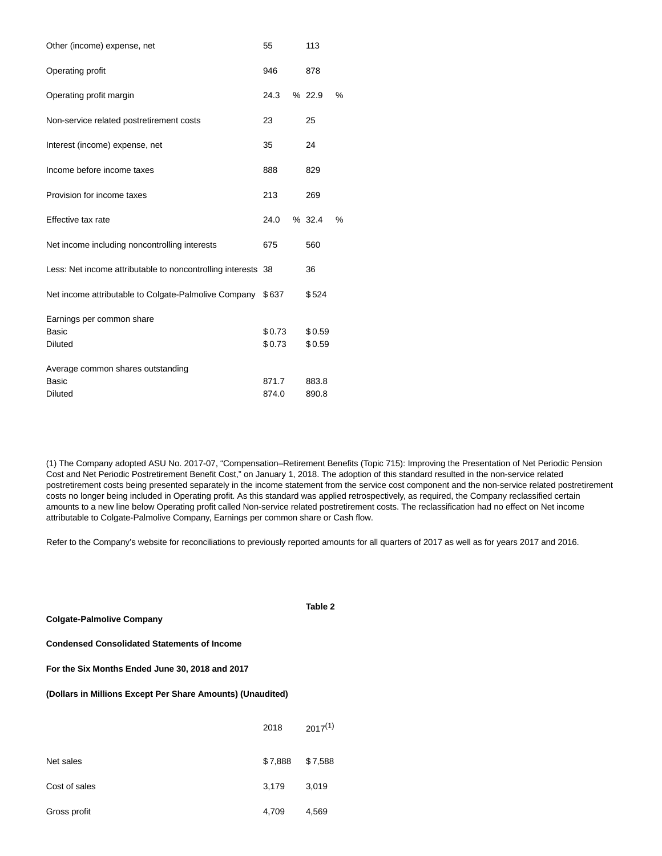| Other (income) expense, net                                         | 55               | 113              |   |
|---------------------------------------------------------------------|------------------|------------------|---|
| Operating profit                                                    | 946              | 878              |   |
| Operating profit margin                                             | 24.3             | %22.9            | % |
| Non-service related postretirement costs                            | 23               | 25               |   |
| Interest (income) expense, net                                      | 35               | 24               |   |
| Income before income taxes                                          | 888              | 829              |   |
| Provision for income taxes                                          | 213              | 269              |   |
| Effective tax rate                                                  | 24.0             | % 32.4           | % |
| Net income including noncontrolling interests                       | 675              | 560              |   |
| Less: Net income attributable to noncontrolling interests 38        |                  | 36               |   |
| Net income attributable to Colgate-Palmolive Company \$637          |                  | \$524            |   |
| Earnings per common share<br>Basic<br><b>Diluted</b>                | \$0.73<br>\$0.73 | \$0.59<br>\$0.59 |   |
| Average common shares outstanding<br><b>Basic</b><br><b>Diluted</b> | 871.7<br>874.0   | 883.8<br>890.8   |   |

(1) The Company adopted ASU No. 2017-07, "Compensation–Retirement Benefits (Topic 715): Improving the Presentation of Net Periodic Pension Cost and Net Periodic Postretirement Benefit Cost," on January 1, 2018. The adoption of this standard resulted in the non-service related postretirement costs being presented separately in the income statement from the service cost component and the non-service related postretirement costs no longer being included in Operating profit. As this standard was applied retrospectively, as required, the Company reclassified certain amounts to a new line below Operating profit called Non-service related postretirement costs. The reclassification had no effect on Net income attributable to Colgate-Palmolive Company, Earnings per common share or Cash flow.

Refer to the Company's website for reconciliations to previously reported amounts for all quarters of 2017 as well as for years 2017 and 2016.

**Table 2**

| For the Six Months Ended June 30, 2018 and 2017            |         |              |  |  |  |  |  |  |  |  |  |  |
|------------------------------------------------------------|---------|--------------|--|--|--|--|--|--|--|--|--|--|
| (Dollars in Millions Except Per Share Amounts) (Unaudited) |         |              |  |  |  |  |  |  |  |  |  |  |
|                                                            | 2018    | $2017^{(1)}$ |  |  |  |  |  |  |  |  |  |  |
| Net sales                                                  | \$7,888 | \$7,588      |  |  |  |  |  |  |  |  |  |  |
| Cost of sales                                              | 3.179   | 3.019        |  |  |  |  |  |  |  |  |  |  |
| Gross profit                                               | 4,709   | 4.569        |  |  |  |  |  |  |  |  |  |  |

**Colgate-Palmolive Company**

**Condensed Consolidated Statements of Income**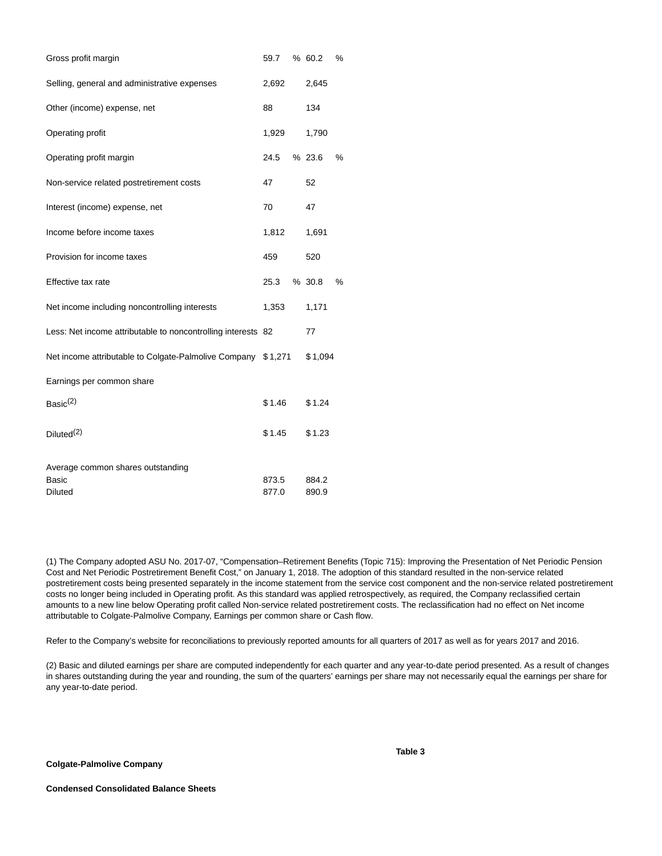| Gross profit margin                                          | 59.7           | % 60.2         | % |
|--------------------------------------------------------------|----------------|----------------|---|
| Selling, general and administrative expenses                 | 2,692          | 2,645          |   |
| Other (income) expense, net                                  | 88             | 134            |   |
| Operating profit                                             | 1,929          | 1,790          |   |
| Operating profit margin                                      | 24.5           | % 23.6         | % |
| Non-service related postretirement costs                     | 47             | 52             |   |
| Interest (income) expense, net                               | 70             | 47             |   |
| Income before income taxes                                   | 1,812          | 1,691          |   |
| Provision for income taxes                                   | 459            | 520            |   |
| Effective tax rate                                           | 25.3           | % 30.8         | % |
| Net income including noncontrolling interests                | 1,353          | 1,171          |   |
| Less: Net income attributable to noncontrolling interests 82 |                | 77             |   |
| Net income attributable to Colgate-Palmolive Company \$1,271 |                | \$1,094        |   |
| Earnings per common share                                    |                |                |   |
| Basic $(2)$                                                  | \$1.46         | \$1.24         |   |
| Diluted <sup>(2)</sup>                                       | \$1.45         | \$1.23         |   |
| Average common shares outstanding                            |                |                |   |
| Basic<br>Diluted                                             | 873.5<br>877.0 | 884.2<br>890.9 |   |

(1) The Company adopted ASU No. 2017-07, "Compensation–Retirement Benefits (Topic 715): Improving the Presentation of Net Periodic Pension Cost and Net Periodic Postretirement Benefit Cost," on January 1, 2018. The adoption of this standard resulted in the non-service related postretirement costs being presented separately in the income statement from the service cost component and the non-service related postretirement costs no longer being included in Operating profit. As this standard was applied retrospectively, as required, the Company reclassified certain amounts to a new line below Operating profit called Non-service related postretirement costs. The reclassification had no effect on Net income attributable to Colgate-Palmolive Company, Earnings per common share or Cash flow.

Refer to the Company's website for reconciliations to previously reported amounts for all quarters of 2017 as well as for years 2017 and 2016.

(2) Basic and diluted earnings per share are computed independently for each quarter and any year-to-date period presented. As a result of changes in shares outstanding during the year and rounding, the sum of the quarters' earnings per share may not necessarily equal the earnings per share for any year-to-date period.

**Colgate-Palmolive Company**

**Table 3**

**Condensed Consolidated Balance Sheets**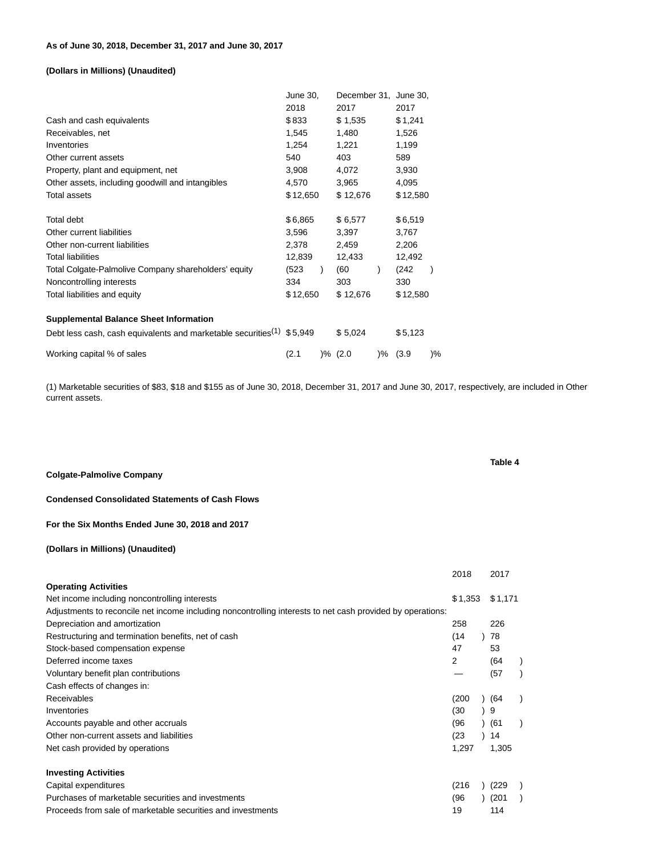# **(Dollars in Millions) (Unaudited)**

|                                                                                   | June 30, |   | December 31, June 30, |              |               |
|-----------------------------------------------------------------------------------|----------|---|-----------------------|--------------|---------------|
|                                                                                   | 2018     |   | 2017                  | 2017         |               |
| Cash and cash equivalents                                                         | \$833    |   | \$1,535               | \$1,241      |               |
| Receivables, net                                                                  | 1,545    |   | 1,480                 | 1,526        |               |
| Inventories                                                                       | 1,254    |   | 1,221                 | 1,199        |               |
| Other current assets                                                              | 540      |   | 403                   | 589          |               |
| Property, plant and equipment, net                                                | 3,908    |   | 4,072                 | 3,930        |               |
| Other assets, including goodwill and intangibles                                  | 4,570    |   | 3,965                 | 4,095        |               |
| <b>Total assets</b>                                                               | \$12,650 |   | \$12,676              | \$12,580     |               |
| <b>Total debt</b>                                                                 | \$6,865  |   | \$6,577               | \$6,519      |               |
| Other current liabilities                                                         | 3,596    |   | 3,397                 | 3,767        |               |
| Other non-current liabilities                                                     | 2,378    |   | 2,459                 | 2,206        |               |
| <b>Total liabilities</b>                                                          | 12,839   |   | 12,433                | 12,492       |               |
| Total Colgate-Palmolive Company shareholders' equity                              | (523     | ) | (60                   | (242)        |               |
| Noncontrolling interests                                                          | 334      |   | 303                   | 330          |               |
| Total liabilities and equity                                                      | \$12,650 |   | \$12,676              | \$12,580     |               |
| <b>Supplemental Balance Sheet Information</b>                                     |          |   |                       |              |               |
| Debt less cash, cash equivalents and marketable securities <sup>(1)</sup> \$5,949 |          |   | \$5,024               | \$5,123      |               |
| Working capital % of sales                                                        | (2.1     |   | )% (2.0               | $) \%$ (3.9) | $\frac{9}{6}$ |

(1) Marketable securities of \$83, \$18 and \$155 as of June 30, 2018, December 31, 2017 and June 30, 2017, respectively, are included in Other current assets.

**Colgate-Palmolive Company**

**Condensed Consolidated Statements of Cash Flows**

## **For the Six Months Ended June 30, 2018 and 2017**

# **(Dollars in Millions) (Unaudited)**

|                                                                                                            | 2018    | 2017    |  |
|------------------------------------------------------------------------------------------------------------|---------|---------|--|
| <b>Operating Activities</b>                                                                                |         |         |  |
| Net income including noncontrolling interests                                                              | \$1,353 | \$1,171 |  |
| Adjustments to reconcile net income including noncontrolling interests to net cash provided by operations: |         |         |  |
| Depreciation and amortization                                                                              | 258     | 226     |  |
| Restructuring and termination benefits, net of cash                                                        | (14)    | 78      |  |
| Stock-based compensation expense                                                                           | 47      | 53      |  |
| Deferred income taxes                                                                                      | 2       | (64     |  |
| Voluntary benefit plan contributions                                                                       |         | (57)    |  |
| Cash effects of changes in:                                                                                |         |         |  |
| Receivables                                                                                                | (200)   | ) (64   |  |
| Inventories                                                                                                | (30)    | 9       |  |
| Accounts payable and other accruals                                                                        | (96     | ) (61   |  |
| Other non-current assets and liabilities                                                                   | (23)    | 14      |  |
| Net cash provided by operations                                                                            | 1,297   | 1,305   |  |
| <b>Investing Activities</b>                                                                                |         |         |  |
| Capital expenditures                                                                                       | (216)   | (229    |  |
| Purchases of marketable securities and investments                                                         | (96     | (201)   |  |
| Proceeds from sale of marketable securities and investments                                                | 19      | 114     |  |

### **Table 4**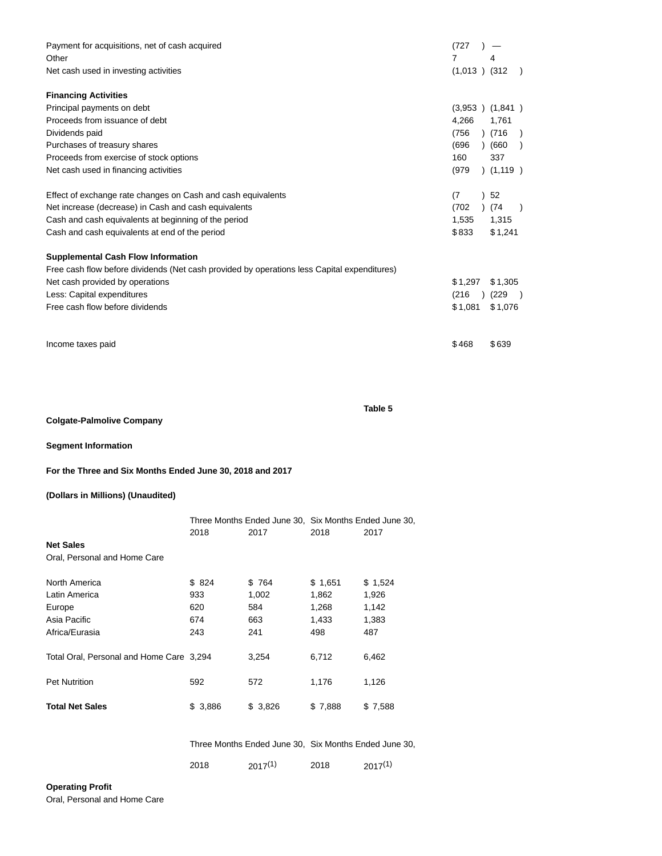| Payment for acquisitions, net of cash acquired                                              | (727              |            |               |
|---------------------------------------------------------------------------------------------|-------------------|------------|---------------|
| Other                                                                                       | 7                 | 4          |               |
| Net cash used in investing activities                                                       | $(1,013)$ $(312)$ |            |               |
| <b>Financing Activities</b>                                                                 |                   |            |               |
| Principal payments on debt                                                                  | (3,953)           | (1,841)    |               |
| Proceeds from issuance of debt                                                              | 4,266             | 1,761      |               |
| Dividends paid                                                                              | (756)             | (716)      | $\rightarrow$ |
| Purchases of treasury shares                                                                | (696)             | (660)      |               |
| Proceeds from exercise of stock options                                                     | 160               | 337        |               |
| Net cash used in financing activities                                                       | (979)             | ) (1,119 ) |               |
| Effect of exchange rate changes on Cash and cash equivalents                                | (7)               | 52         |               |
| Net increase (decrease) in Cash and cash equivalents                                        | (702)             | (74        |               |
| Cash and cash equivalents at beginning of the period                                        | 1.535             | 1,315      |               |
| Cash and cash equivalents at end of the period                                              | \$833             | \$1,241    |               |
| <b>Supplemental Cash Flow Information</b>                                                   |                   |            |               |
| Free cash flow before dividends (Net cash provided by operations less Capital expenditures) |                   |            |               |
| Net cash provided by operations                                                             | \$1.297           | \$1,305    |               |
| Less: Capital expenditures                                                                  | (216)             | (229)      |               |
| Free cash flow before dividends                                                             | \$1,081           | \$1,076    |               |
| Income taxes paid                                                                           | \$468             | \$639      |               |

**Table 5**

# **Colgate-Palmolive Company**

**Segment Information**

**For the Three and Six Months Ended June 30, 2018 and 2017**

# **(Dollars in Millions) (Unaudited)**

|                                          |         | Three Months Ended June 30, Six Months Ended June 30, |         |              |  |
|------------------------------------------|---------|-------------------------------------------------------|---------|--------------|--|
|                                          | 2018    | 2017                                                  | 2018    | 2017         |  |
| <b>Net Sales</b>                         |         |                                                       |         |              |  |
| Oral, Personal and Home Care             |         |                                                       |         |              |  |
| North America                            | \$824   | \$764                                                 | \$1,651 | \$1,524      |  |
| Latin America                            | 933     | 1,002                                                 | 1,862   | 1,926        |  |
| Europe                                   | 620     | 584                                                   | 1,268   | 1,142        |  |
| Asia Pacific                             | 674     | 663                                                   | 1,433   | 1,383        |  |
| Africa/Eurasia                           | 243     | 241                                                   | 498     | 487          |  |
| Total Oral, Personal and Home Care 3,294 |         | 3,254                                                 | 6,712   | 6,462        |  |
| <b>Pet Nutrition</b>                     | 592     | 572                                                   | 1,176   | 1,126        |  |
| <b>Total Net Sales</b>                   | \$3,886 | \$3,826                                               | \$7,888 | \$7,588      |  |
|                                          |         |                                                       |         |              |  |
|                                          |         | Three Months Ended June 30, Six Months Ended June 30, |         |              |  |
|                                          | 2018    | $2017^{(1)}$                                          | 2018    | $2017^{(1)}$ |  |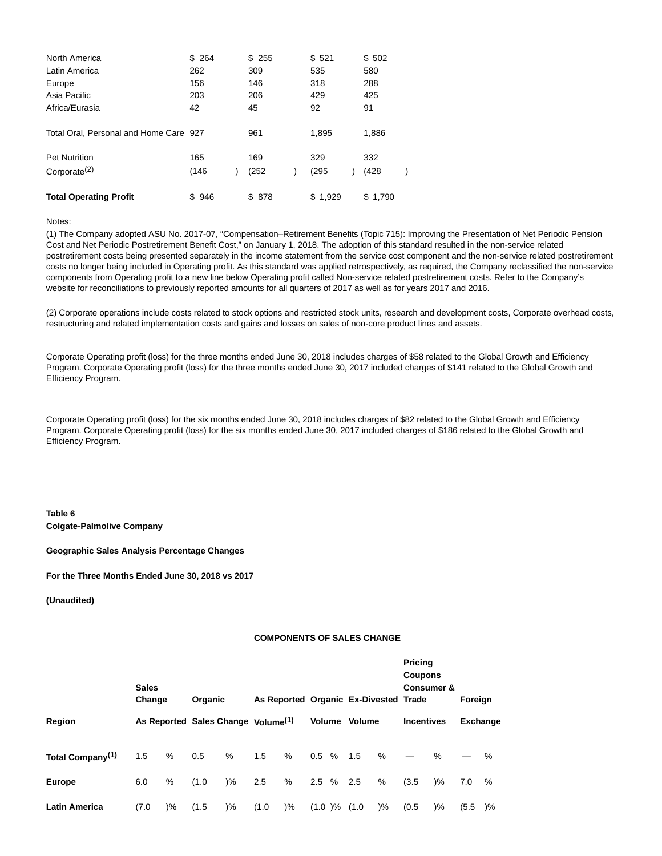| North America                          | \$264 | \$255  | \$521   | \$502   |
|----------------------------------------|-------|--------|---------|---------|
| Latin America                          | 262   | 309    | 535     | 580     |
| Europe                                 | 156   | 146    | 318     | 288     |
| Asia Pacific                           | 203   | 206    | 429     | 425     |
| Africa/Eurasia                         | 42    | 45     | 92      | 91      |
| Total Oral, Personal and Home Care 927 |       | 961    | 1,895   | 1,886   |
| <b>Pet Nutrition</b>                   | 165   | 169    | 329     | 332     |
| Corporate $(2)$                        | (146) | (252   | (295)   | (428)   |
| <b>Total Operating Profit</b>          | \$946 | \$ 878 | \$1.929 | \$1,790 |

Notes:

(1) The Company adopted ASU No. 2017-07, "Compensation–Retirement Benefits (Topic 715): Improving the Presentation of Net Periodic Pension Cost and Net Periodic Postretirement Benefit Cost," on January 1, 2018. The adoption of this standard resulted in the non-service related postretirement costs being presented separately in the income statement from the service cost component and the non-service related postretirement costs no longer being included in Operating profit. As this standard was applied retrospectively, as required, the Company reclassified the non-service components from Operating profit to a new line below Operating profit called Non-service related postretirement costs. Refer to the Company's website for reconciliations to previously reported amounts for all quarters of 2017 as well as for years 2017 and 2016.

(2) Corporate operations include costs related to stock options and restricted stock units, research and development costs, Corporate overhead costs, restructuring and related implementation costs and gains and losses on sales of non-core product lines and assets.

Corporate Operating profit (loss) for the three months ended June 30, 2018 includes charges of \$58 related to the Global Growth and Efficiency Program. Corporate Operating profit (loss) for the three months ended June 30, 2017 included charges of \$141 related to the Global Growth and Efficiency Program.

Corporate Operating profit (loss) for the six months ended June 30, 2018 includes charges of \$82 related to the Global Growth and Efficiency Program. Corporate Operating profit (loss) for the six months ended June 30, 2017 included charges of \$186 related to the Global Growth and Efficiency Program.

**Table 6 Colgate-Palmolive Company**

**Geographic Sales Analysis Percentage Changes**

**For the Three Months Ended June 30, 2018 vs 2017**

**(Unaudited)**

## **COMPONENTS OF SALES CHANGE**

|                              | <b>Sales</b> | As Reported Organic Ex-Divested Trade<br>Change<br>Organic |                                                |               |       |       |               |  |       | <b>Pricing</b><br><b>Coupons</b><br><b>Consumer &amp;</b><br>Foreign |                   |               |                 |               |
|------------------------------|--------------|------------------------------------------------------------|------------------------------------------------|---------------|-------|-------|---------------|--|-------|----------------------------------------------------------------------|-------------------|---------------|-----------------|---------------|
| Region                       |              |                                                            | As Reported Sales Change Volume <sup>(1)</sup> |               |       |       | Volume Volume |  |       |                                                                      | <b>Incentives</b> |               | <b>Exchange</b> |               |
| Total Company <sup>(1)</sup> | 1.5          | %                                                          | 0.5                                            | %             | 1.5   | %     | $0.5\%$       |  | 1.5   | $\%$                                                                 |                   | $\%$          |                 | $\%$          |
| <b>Europe</b>                | 6.0          | %                                                          | (1.0)                                          | $\frac{9}{6}$ | 2.5   | %     | $2.5\%$       |  | 2.5   | %                                                                    | (3.5)             | $\frac{9}{6}$ | 7.0             | %             |
| <b>Latin America</b>         | (7.0)        | $)\%$                                                      | (1.5)                                          | $)\%$         | (1.0) | $)\%$ | $(1.0) \%$    |  | (1.0) | )%                                                                   | (0.5)             | $)\%$         | (5.5)           | $\frac{9}{6}$ |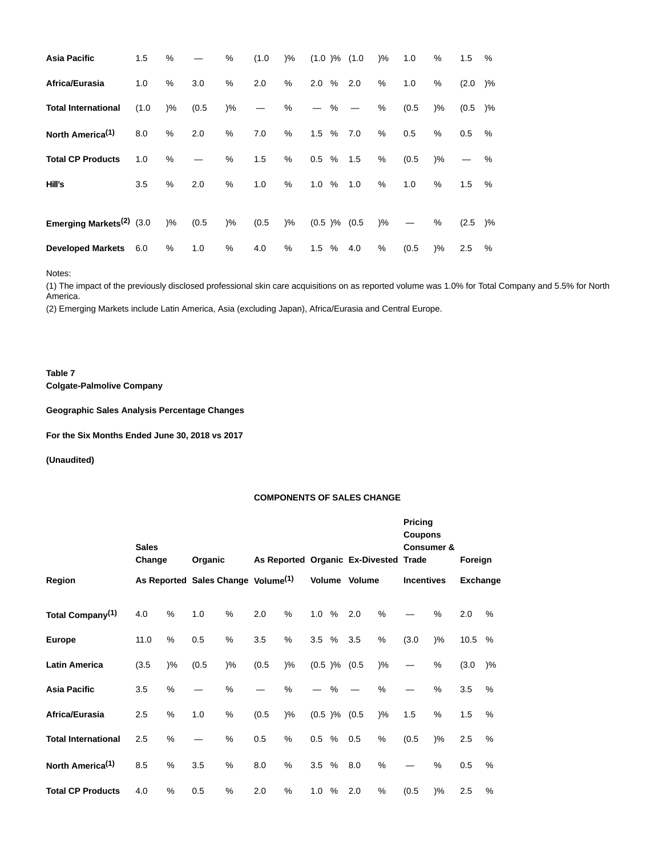| <b>Asia Pacific</b>          | 1.5   | %     |       | %             | (1.0) | $)\%$  | $(1.0)$ % $(1.0)$               |   |     | $\frac{9}{6}$ | 1.0   | %             | 1.5       | %  |
|------------------------------|-------|-------|-------|---------------|-------|--------|---------------------------------|---|-----|---------------|-------|---------------|-----------|----|
| Africa/Eurasia               | 1.0   | %     | 3.0   | $\%$          | 2.0   | %      | 2.0%                            |   | 2.0 | %             | 1.0   | %             | $(2.0)$ % |    |
| <b>Total International</b>   | (1.0) | $)\%$ | (0.5) | $)\%$         |       | %      | $\hspace{0.1mm}-\hspace{0.1mm}$ | % |     | %             | (0.5) | $)\%$         | (0.5)     | )% |
| North America <sup>(1)</sup> | 8.0   | %     | 2.0   | %             | 7.0   | %      | $1.5\%$                         |   | 7.0 | %             | 0.5   | %             | 0.5       | %  |
| <b>Total CP Products</b>     | 1.0   | %     |       | %             | 1.5   | %      | $0.5\%$                         |   | 1.5 | %             | (0.5) | $\frac{9}{6}$ |           | %  |
| Hill's                       | 3.5   | $\%$  | 2.0   | %             | 1.0   | %      | 1.0%                            |   | 1.0 | %             | 1.0   | %             | 1.5       | %  |
| Emerging Markets $(2)$ (3.0) |       | $)\%$ | (0.5) | $\frac{9}{6}$ | (0.5) | $) \%$ | $(0.5)$ % $(0.5)$               |   |     | )%            |       | %             | (2.5)     | )% |
| <b>Developed Markets</b>     | 6.0   | %     | 1.0   | %             | 4.0   | %      | $1.5\%$                         |   | 4.0 | %             | (0.5) | $)\%$         | 2.5       | %  |

Notes:

(1) The impact of the previously disclosed professional skin care acquisitions on as reported volume was 1.0% for Total Company and 5.5% for North America.

(2) Emerging Markets include Latin America, Asia (excluding Japan), Africa/Eurasia and Central Europe.

**Table 7 Colgate-Palmolive Company**

**Geographic Sales Analysis Percentage Changes**

**For the Six Months Ended June 30, 2018 vs 2017**

**(Unaudited)**

## **COMPONENTS OF SALES CHANGE**

|                              | <b>Sales</b><br>Change |       | As Reported Organic Ex-Divested Trade<br>Organic |                                                |       |               |         |      |                   |               | <b>Pricing</b><br><b>Coupons</b><br><b>Consumer &amp;</b><br>Foreign |        |                 |       |
|------------------------------|------------------------|-------|--------------------------------------------------|------------------------------------------------|-------|---------------|---------|------|-------------------|---------------|----------------------------------------------------------------------|--------|-----------------|-------|
| Region                       |                        |       |                                                  | As Reported Sales Change Volume <sup>(1)</sup> |       |               |         |      | Volume Volume     |               | <b>Incentives</b>                                                    |        | <b>Exchange</b> |       |
| Total Company <sup>(1)</sup> | 4.0                    | %     | 1.0                                              | %                                              | 2.0   | %             | 1.0%    |      | 2.0               | %             |                                                                      | %      | 2.0             | %     |
| <b>Europe</b>                | 11.0                   | %     | 0.5                                              | $\%$                                           | 3.5   | %             | 3.5%    |      | 3.5               | %             | (3.0)                                                                | $)\%$  | 10.5            | $\%$  |
| <b>Latin America</b>         | (3.5)                  | $)\%$ | (0.5)                                            | $)\%$                                          | (0.5) | $)\%$         |         |      | $(0.5)$ % $(0.5)$ | $\frac{9}{6}$ |                                                                      | %      | (3.0)           | $)\%$ |
| <b>Asia Pacific</b>          | 3.5                    | %     |                                                  | %                                              |       | %             |         | $\%$ |                   | %             |                                                                      | %      | 3.5             | $\%$  |
| Africa/Eurasia               | 2.5                    | %     | 1.0                                              | %                                              | (0.5) | $\frac{9}{6}$ |         |      | $(0.5)$ % $(0.5)$ | $)\%$         | 1.5                                                                  | %      | 1.5             | %     |
| <b>Total International</b>   | 2.5                    | %     |                                                  | %                                              | 0.5   | %             | $0.5\%$ |      | 0.5               | %             | (0.5)                                                                | $) \%$ | 2.5             | %     |
| North America <sup>(1)</sup> | 8.5                    | %     | 3.5                                              | %                                              | 8.0   | %             | 3.5%    |      | 8.0               | %             |                                                                      | $\%$   | 0.5             | $\%$  |
| <b>Total CP Products</b>     | 4.0                    | %     | 0.5                                              | %                                              | 2.0   | %             | 1.0%    |      | 2.0               | %             | (0.5)                                                                | $)\%$  | 2.5             | $\%$  |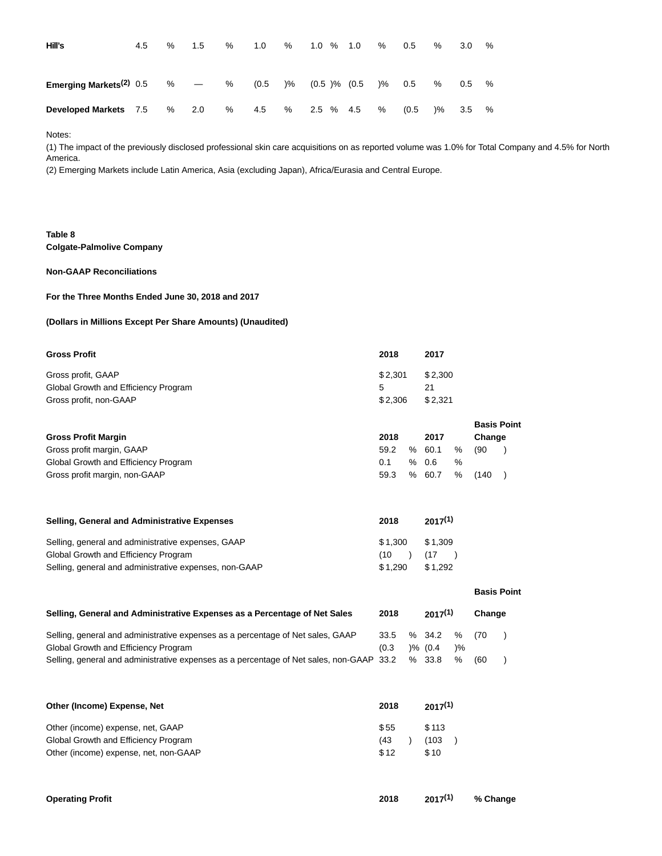| Hill's                                    | 4.5 | % | 1.5 | % | 1.0                                        | % | $1.0 \t% 1.0$ |  | % | 0.5   | %             | 3.0 | % |
|-------------------------------------------|-----|---|-----|---|--------------------------------------------|---|---------------|--|---|-------|---------------|-----|---|
| Emerging Markets <sup>(2)</sup> 0.5 $% -$ |     |   |     | % | $(0.5)$ $\%$ $(0.5)$ $\%$ $(0.5)$ $\%$ 0.5 |   |               |  |   |       | %             | 0.5 | % |
| <b>Developed Markets</b> 7.5              |     | % | 2.0 | % | 4.5                                        | % | 2.5 % 4.5     |  | % | (0.5) | $\frac{9}{6}$ | 3.5 | % |

Notes:

(1) The impact of the previously disclosed professional skin care acquisitions on as reported volume was 1.0% for Total Company and 4.5% for North America.

(2) Emerging Markets include Latin America, Asia (excluding Japan), Africa/Eurasia and Central Europe.

# **Table 8 Colgate-Palmolive Company**

## **Non-GAAP Reconciliations**

## **For the Three Months Ended June 30, 2018 and 2017**

## **(Dollars in Millions Except Per Share Amounts) (Unaudited)**

| <b>Gross Profit</b>                  | 2018    | 2017    |
|--------------------------------------|---------|---------|
| Gross profit, GAAP                   | \$2.301 | \$2.300 |
| Global Growth and Efficiency Program |         | 21      |
| Gross profit, non-GAAP               | \$2.306 | \$2.321 |

|                                      |      |        |   | <b>Basis Point</b> |  |
|--------------------------------------|------|--------|---|--------------------|--|
| <b>Gross Profit Margin</b>           | 2018 | 2017   |   | Change             |  |
| Gross profit margin, GAAP            | 59.2 | % 60.1 | % | (90)               |  |
| Global Growth and Efficiency Program | 0.1  | % 0.6  | % |                    |  |
| Gross profit margin, non-GAAP        | 59.3 | % 60.7 | % | (140)              |  |

| <b>Selling, General and Administrative Expenses</b>    | 2018    | $2017^{(1)}$ |
|--------------------------------------------------------|---------|--------------|
| Selling, general and administrative expenses, GAAP     | \$1.300 | \$1.309      |
| Global Growth and Efficiency Program                   | (10)    | (17)         |
| Selling, general and administrative expenses, non-GAAP | \$1.290 | \$1.292      |

|                                                                                          |                   |              |               |        | <b>Basis Point</b> |
|------------------------------------------------------------------------------------------|-------------------|--------------|---------------|--------|--------------------|
| Selling, General and Administrative Expenses as a Percentage of Net Sales                | 2018              | 2017(1)      |               | Change |                    |
| Selling, general and administrative expenses as a percentage of Net sales, GAAP          | 33.5 % 34.2 % (70 |              |               |        |                    |
| Global Growth and Efficiency Program                                                     | (0.3)             | $) \% (0.4)$ | $\frac{9}{6}$ |        |                    |
| Selling, general and administrative expenses as a percentage of Net sales, non-GAAP 33.2 |                   | % 33.8       | %             | (60    |                    |

| Other (Income) Expense, Net           | 2018 | $2017^{(1)}$ |  |  |
|---------------------------------------|------|--------------|--|--|
| Other (income) expense, net, GAAP     | \$55 | \$113        |  |  |
| Global Growth and Efficiency Program  | (43) | (103)        |  |  |
| Other (income) expense, net, non-GAAP | \$12 | \$10         |  |  |

| <b>Operating Profit</b> | 2018 |  | 2017 <sup>(1)</sup> % Change |
|-------------------------|------|--|------------------------------|
|-------------------------|------|--|------------------------------|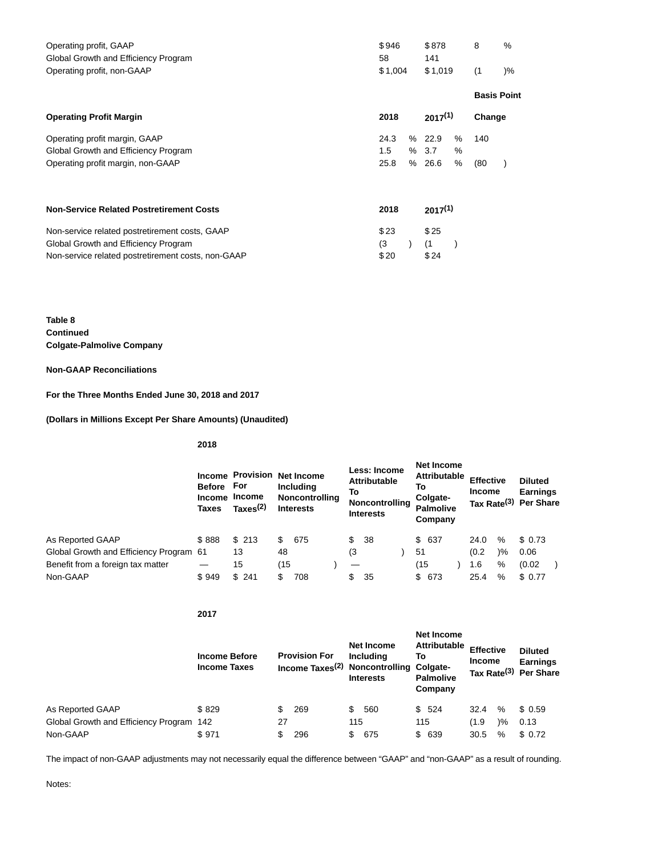| Operating profit, GAAP<br>Global Growth and Efficiency Program<br>Operating profit, non-GAAP                                                 | \$946<br>58<br>\$1,004 |             |                     | \$1,019        | 8<br>(1)           | $\%$<br>$)\%$ |
|----------------------------------------------------------------------------------------------------------------------------------------------|------------------------|-------------|---------------------|----------------|--------------------|---------------|
|                                                                                                                                              |                        |             |                     |                | <b>Basis Point</b> |               |
| <b>Operating Profit Margin</b>                                                                                                               | 2018                   |             | $2017^{(1)}$        |                | Change             |               |
| Operating profit margin, GAAP<br>Global Growth and Efficiency Program<br>Operating profit margin, non-GAAP                                   | 24.3<br>1.5<br>25.8    | %<br>%<br>% | 22.9<br>3.7<br>26.6 | %<br>$\%$<br>% | 140<br>(80)        |               |
| <b>Non-Service Related Postretirement Costs</b>                                                                                              | 2018                   |             | $2017^{(1)}$        |                |                    |               |
| Non-service related postretirement costs, GAAP<br>Global Growth and Efficiency Program<br>Non-service related postretirement costs, non-GAAP | \$23<br>(3)<br>\$20    |             | \$25<br>(1)<br>\$24 |                |                    |               |

**Table 8 Continued Colgate-Palmolive Company**

**Non-GAAP Reconciliations**

**For the Three Months Ended June 30, 2018 and 2017**

**(Dollars in Millions Except Per Share Amounts) (Unaudited)**

**2018**

**2017**

|                                         | Before For<br><b>Income</b><br>Taxes | <b>Income Provision</b><br>Income<br>$\textsf{Taxes}^{(2)}$ |     | Net Income<br><b>Including</b><br>Noncontrolling<br><b>Interests</b> | То | Less: Income<br><b>Attributable</b><br>Noncontrolling<br><b>Interests</b> | Net Income<br>Attributable<br>To<br>Colgate-<br><b>Palmolive</b><br>Company | <b>Effective</b><br><b>Income</b> |               | <b>Diluted</b><br><b>Earnings</b><br>Tax Rate <sup>(3)</sup> Per Share |
|-----------------------------------------|--------------------------------------|-------------------------------------------------------------|-----|----------------------------------------------------------------------|----|---------------------------------------------------------------------------|-----------------------------------------------------------------------------|-----------------------------------|---------------|------------------------------------------------------------------------|
| As Reported GAAP                        | \$888                                | \$213                                                       | \$  | 675                                                                  | \$ | -38                                                                       | \$ 637                                                                      | 24.0                              | %             | \$ 0.73                                                                |
| Global Growth and Efficiency Program 61 |                                      | 13                                                          | 48  |                                                                      | (3 |                                                                           | 51                                                                          | (0.2)                             | $\frac{9}{6}$ | 0.06                                                                   |
| Benefit from a foreign tax matter       |                                      | 15                                                          | (15 |                                                                      |    |                                                                           | (15)                                                                        | 1.6                               | %             | (0.02)                                                                 |
| Non-GAAP                                | \$949                                | \$241                                                       | \$  | 708                                                                  | \$ | 35                                                                        | \$ 673                                                                      | 25.4                              | %             | \$ 0.77                                                                |

|                                          | <b>Income Before</b><br><b>Income Taxes</b> |     | <b>Provision For</b><br>Income Taxes <sup>(2)</sup> Noncontrolling Colgate- |     | Net Income<br>Including<br><b>Interests</b> | То  | Net Income<br><b>Attributable</b><br><b>Palmolive</b><br>Company | <b>Effective</b><br><b>Income</b> |               | <b>Diluted</b><br><b>Earnings</b><br>Tax Rate <sup>(3)</sup> Per Share |
|------------------------------------------|---------------------------------------------|-----|-----------------------------------------------------------------------------|-----|---------------------------------------------|-----|------------------------------------------------------------------|-----------------------------------|---------------|------------------------------------------------------------------------|
| As Reported GAAP                         | \$829                                       | \$. | 269                                                                         | \$  | 560                                         |     | \$524                                                            | 32.4                              | %             | \$0.59                                                                 |
| Global Growth and Efficiency Program 142 |                                             | 27  |                                                                             | 115 |                                             | 115 |                                                                  | (1.9)                             | $\frac{9}{6}$ | 0.13                                                                   |
| Non-GAAP                                 | \$971                                       | \$  | 296                                                                         | \$  | 675                                         |     | \$ 639                                                           | 30.5                              | %             | \$0.72                                                                 |

The impact of non-GAAP adjustments may not necessarily equal the difference between "GAAP" and "non-GAAP" as a result of rounding.

Notes: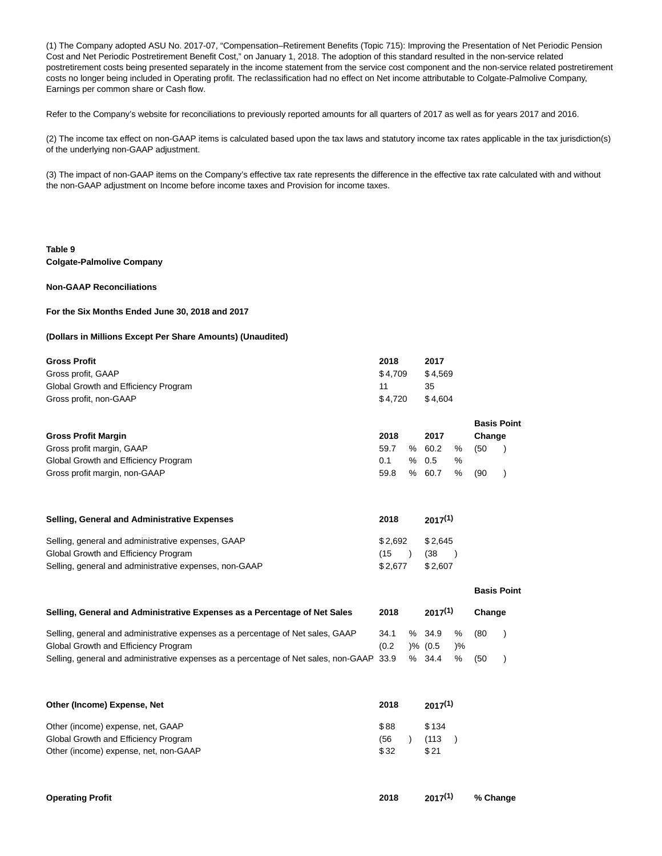(1) The Company adopted ASU No. 2017-07, "Compensation–Retirement Benefits (Topic 715): Improving the Presentation of Net Periodic Pension Cost and Net Periodic Postretirement Benefit Cost," on January 1, 2018. The adoption of this standard resulted in the non-service related postretirement costs being presented separately in the income statement from the service cost component and the non-service related postretirement costs no longer being included in Operating profit. The reclassification had no effect on Net income attributable to Colgate-Palmolive Company, Earnings per common share or Cash flow.

Refer to the Company's website for reconciliations to previously reported amounts for all quarters of 2017 as well as for years 2017 and 2016.

(2) The income tax effect on non-GAAP items is calculated based upon the tax laws and statutory income tax rates applicable in the tax jurisdiction(s) of the underlying non-GAAP adjustment.

(3) The impact of non-GAAP items on the Company's effective tax rate represents the difference in the effective tax rate calculated with and without the non-GAAP adjustment on Income before income taxes and Provision for income taxes.

## **Table 9 Colgate-Palmolive Company**

## **Non-GAAP Reconciliations**

### **For the Six Months Ended June 30, 2018 and 2017**

### **(Dollars in Millions Except Per Share Amounts) (Unaudited)**

| <b>Gross Profit</b>                  | 2018      | 2017      |                    |
|--------------------------------------|-----------|-----------|--------------------|
| Gross profit, GAAP                   | \$4,709   | \$4,569   |                    |
| Global Growth and Efficiency Program | 11        | 35        |                    |
| Gross profit, non-GAAP               | \$4.720   | \$4.604   |                    |
|                                      |           |           | <b>Basis Point</b> |
| <b>Gross Profit Margin</b>           | 2018      | 2017      | Change             |
| Gross profit margin, GAAP            | 59.7<br>% | 60.2<br>% | (50                |
| Global Growth and Efficiency Program | %<br>0.1  | %<br>0.5  |                    |

Gross profit margin, non-GAAP 69.8 and 59.8 million of the state of the state of the state of the state of the state of the state of the state of the state of the state of the state of the state of the state of the state o

| Selling, General and Administrative Expenses           | 2018              | $2017^{(1)}$ |
|--------------------------------------------------------|-------------------|--------------|
| Selling, general and administrative expenses, GAAP     | $$2.692$ $$2.645$ |              |
| Global Growth and Efficiency Program                   | (15               | (38          |
| Selling, general and administrative expenses, non-GAAP | \$2.677           | \$2.607      |

|                                                                                          |       |                     |               |        | <b>Basis Point</b> |
|------------------------------------------------------------------------------------------|-------|---------------------|---------------|--------|--------------------|
| Selling, General and Administrative Expenses as a Percentage of Net Sales                | 2018  | $2017^{(1)}$        |               | Change |                    |
| Selling, general and administrative expenses as a percentage of Net sales, GAAP          | 34.1  | % 34.9              | %             | (80    |                    |
| Global Growth and Efficiency Program                                                     | (0.2) | $\frac{9}{6}$ (0.5) | $\frac{9}{6}$ |        |                    |
| Selling, general and administrative expenses as a percentage of Net sales, non-GAAP 33.9 |       | %34.4               | $\%$          | (50)   |                    |

**Basis Point**

| Other (Income) Expense, Net           |      | $2017^{(1)}$ |  |  |
|---------------------------------------|------|--------------|--|--|
| Other (income) expense, net, GAAP     | \$88 | \$134        |  |  |
| Global Growth and Efficiency Program  | (56  | (113)        |  |  |
| Other (income) expense, net, non-GAAP | \$32 | \$21         |  |  |

| <b>Operating Profit</b> | 2018 |  | 2017 <sup>(1)</sup> % Change |
|-------------------------|------|--|------------------------------|
|-------------------------|------|--|------------------------------|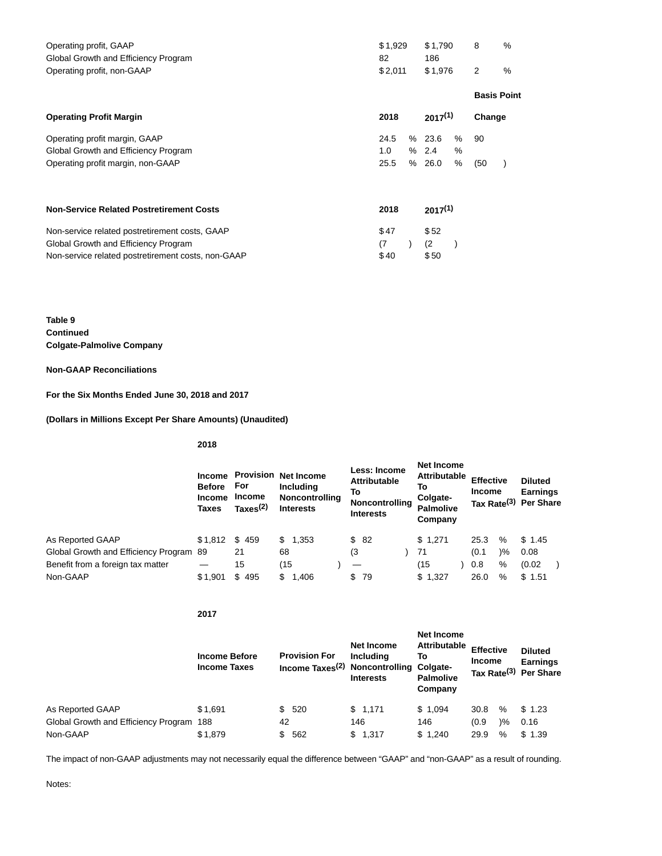| Operating profit, GAAP<br>Global Growth and Efficiency Program | \$1,929<br>82 |   | \$1,790<br>186 |   | 8      | %                  |
|----------------------------------------------------------------|---------------|---|----------------|---|--------|--------------------|
| Operating profit, non-GAAP                                     | \$2,011       |   |                |   | 2      | $\%$               |
|                                                                |               |   |                |   |        | <b>Basis Point</b> |
| <b>Operating Profit Margin</b>                                 | 2018          |   | $2017^{(1)}$   |   | Change |                    |
| Operating profit margin, GAAP                                  | 24.5          | % | 23.6           | % | 90     |                    |
| Global Growth and Efficiency Program                           | 1.0           | % | 2.4            | % |        |                    |
| Operating profit margin, non-GAAP                              | 25.5          | % | 26.0           | % | (50)   |                    |
| <b>Non-Service Related Postretirement Costs</b>                | 2018          |   | $2017^{(1)}$   |   |        |                    |
| Non-service related postretirement costs, GAAP                 | \$47          |   | \$52           |   |        |                    |
| Global Growth and Efficiency Program                           | (7)           |   | (2)            |   |        |                    |
| Non-service related postretirement costs, non-GAAP             | \$40          |   | \$50           |   |        |                    |

**Table 9 Continued Colgate-Palmolive Company**

**Non-GAAP Reconciliations**

**For the Six Months Ended June 30, 2018 and 2017**

**(Dollars in Millions Except Per Share Amounts) (Unaudited)**

**2018**

**2017**

|                                         | <b>Income</b><br><b>Before</b><br><b>Income</b><br>Taxes | For<br><b>Income</b><br>$\textsf{Taxes}^{(2)}$ | <b>Provision Net Income</b><br><b>Including</b><br>Noncontrolling<br><b>Interests</b> |    | <b>Less: Income</b><br><b>Attributable</b><br>То<br>Noncontrolling<br><b>Interests</b> |  |         |       | Net Income<br><b>Attributable</b><br>To<br>Colgate-<br><b>Palmolive</b><br>Company | <b>Effective</b><br><b>Income</b> |  | <b>Diluted</b><br><b>Earnings</b><br>Tax Rate <sup>(3)</sup> Per Share |  |
|-----------------------------------------|----------------------------------------------------------|------------------------------------------------|---------------------------------------------------------------------------------------|----|----------------------------------------------------------------------------------------|--|---------|-------|------------------------------------------------------------------------------------|-----------------------------------|--|------------------------------------------------------------------------|--|
| As Reported GAAP                        | \$1,812                                                  | \$459                                          | \$1,353                                                                               |    | \$82                                                                                   |  | \$1,271 | 25.3  | %                                                                                  | \$1.45                            |  |                                                                        |  |
| Global Growth and Efficiency Program 89 |                                                          | 21                                             | 68                                                                                    |    | (3                                                                                     |  | 71      | (0.1) | $\frac{9}{6}$                                                                      | 0.08                              |  |                                                                        |  |
| Benefit from a foreign tax matter       |                                                          | 15                                             | (15                                                                                   |    |                                                                                        |  | (15)    | 0.8   | $\%$                                                                               | (0.02)                            |  |                                                                        |  |
| Non-GAAP                                | \$1,901                                                  | \$495                                          | \$.<br>1.406                                                                          | \$ | 79                                                                                     |  | \$1,327 | 26.0  | %                                                                                  | \$1.51                            |  |                                                                        |  |

|                                          | <b>Income Before</b><br><b>Income Taxes</b> | <b>Provision For</b><br>Income Taxes <sup>(2)</sup> Noncontrolling Colgate- | Net Income<br>Including<br><b>Interests</b> | <b>Net Income</b><br><b>Attributable</b><br>То<br><b>Palmolive</b><br>Company | <b>Effective</b><br><b>Income</b> |               | <b>Diluted</b><br><b>Earnings</b><br>Tax Rate <sup>(3)</sup> Per Share |  |
|------------------------------------------|---------------------------------------------|-----------------------------------------------------------------------------|---------------------------------------------|-------------------------------------------------------------------------------|-----------------------------------|---------------|------------------------------------------------------------------------|--|
| As Reported GAAP                         | \$1,691                                     | \$520                                                                       | \$1,171                                     | \$1,094                                                                       | 30.8                              | $\%$          | \$1.23                                                                 |  |
| Global Growth and Efficiency Program 188 |                                             | 42                                                                          | 146                                         | 146                                                                           | (0.9)                             | $\frac{9}{6}$ | 0.16                                                                   |  |
| Non-GAAP                                 | \$1,879                                     | \$<br>562                                                                   | 1,317<br>\$                                 | \$1,240                                                                       | 29.9                              | %             | \$1.39                                                                 |  |

The impact of non-GAAP adjustments may not necessarily equal the difference between "GAAP" and "non-GAAP" as a result of rounding.

Notes: